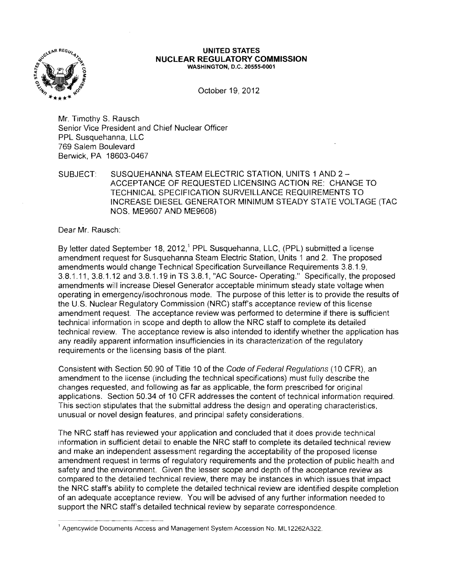

## **UNITED STATES NUCLEAR REGULATORY COMMISSION** WASHINGTON, D.C. 20555-0001

October 19, 2012

Mr. Timothy S. Rausch Senior Vice President and Chief Nuclear Officer PPL Susquehanna, LLC 769 Salem Boulevard Berwick, PA 18603-0467

SUBJECT: SUSQUEHANNA STEAM ELECTRIC STATION, UNITS 1 AND 2 -ACCEPTANCE OF REQUESTED LICENSING ACTION RE: CHANGE TO TECHNICAL SPECIFICATION SURVEILLANCE REQUIREMENTS TO INCREASE DIESEL GENERATOR MINIMUM STEADY STATE VOLTAGE (TAC NOS. ME9607 AND ME9608)

Dear Mr. Rausch:

By letter dated September 18, 2012,<sup>1</sup> PPL Susquehanna, LLC, (PPL) submitted a license amendment request for Susquehanna Steam Electric Station, Units 1 and 2. The proposed amendments would change Technical Specification Surveillance Requirements 3.8.1.9, 3.8.1.11, 3.8.1.12 and 3.8.1.19 in TS 3.8.1, "AC Source- Operating." Specifically, the proposed amendments will increase Diesel Generator acceptable minimum steady state voltage when operating in emergencyfisochronous mode. The purpose of this letter is to provide the results of the U.S. Nuclear Regulatory Commission (NRC) staff's acceptance review of this license amendment request. The acceptance review was performed to determine if there is sufficient technical information in scope and depth to allow the NRC staff to complete its detailed technical review. The acceptance review is also intended to identify whether the application has any readily apparent information insufficiencies in its characterization of the regulatory requirements or the licensing basis of the plant.

Consistent with Section 50.90 of Title 10 of the Code of Federal Regulations (10 CFR), an amendment to the license (including the technical specifications) must fully describe the changes requested, and following as far as applicable, the form prescribed for original applications. Section 50.34 of 10 CFR addresses the content of technical information required. This section stipulates that the submittal address the design and operating characteristics, unusual or novel design features, and principal safety considerations.

The NRC staff has reviewed your application and concluded that it does provide technical information in sufficient detail to enable the NRC staff to complete its detailed technical review and make an independent assessment regarding the acceptability of the proposed license amendment request in terms of regulatory requirements and the protection of public health and safety and the environment. Given the lesser scope and depth of the acceptance review as compared to the detailed technical review, there may be instances in which issues that impact the NRC staff's ability to complete the detailed technical review are identified despite completion of an adequate acceptance review. You will be advised of any further information needed to support the NRC staff's detailed technical review by separate correspondence.

<sup>&</sup>lt;sup>1</sup> Agencywide Documents Access and Management System Accession No. ML12262A322.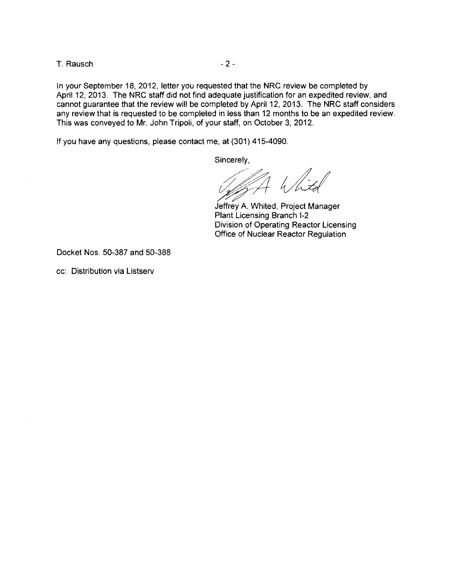T. Rausch - 2

In your September 18, 2012, letter you requested that the NRC review be completed by April 12, 2013. The NRC staff did not find adequate justification for an expedited review, and cannot guarantee that the review will be completed by April 12, 2013. The NRC staff considers any review that is requested to be completed in less than 12 months to be an expedited review. This was conveyed to Mr. John Tripoli, of your staff, on October 3, 2012.

If you have any questions, please contact me, at (301) 415-4090.

Sincerely,

White

Jeffrey A. Whited, Project Manager Plant Licensing Branch 1-2 Division of Operating Reactor Licensing Office of Nuclear Reactor Regulation

Docket Nos. 50-387 and 50-388

cc: Distribution via Listserv